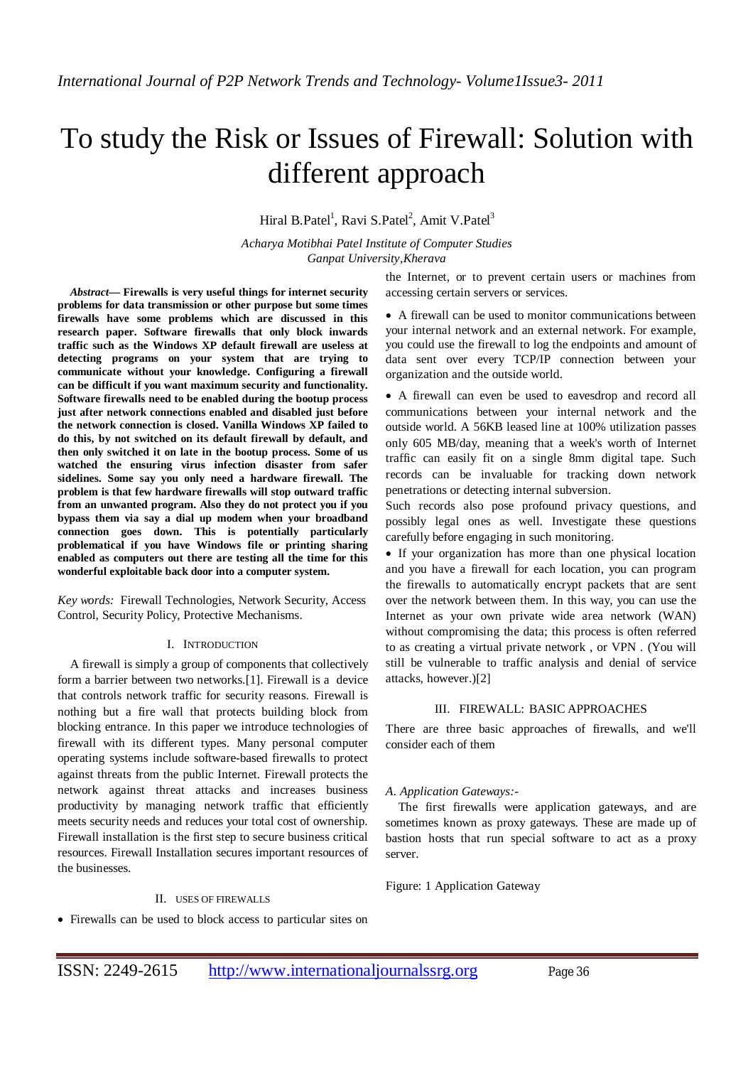# To study the Risk or Issues of Firewall: Solution with different approach

Hiral B.Patel<sup>1</sup>, Ravi S.Patel<sup>2</sup>, Amit V.Patel<sup>3</sup>

*Acharya Motibhai Patel Institute of Computer Studies Ganpat University,Kherava*

*Abstract***— Firewalls is very useful things for internet security problems for data transmission or other purpose but some times firewalls have some problems which are discussed in this research paper. Software firewalls that only block inwards traffic such as the Windows XP default firewall are useless at detecting programs on your system that are trying to communicate without your knowledge. Configuring a firewall can be difficult if you want maximum security and functionality. Software firewalls need to be enabled during the bootup process just after network connections enabled and disabled just before the network connection is closed. Vanilla Windows XP failed to do this, by not switched on its default firewall by default, and then only switched it on late in the bootup process. Some of us watched the ensuring virus infection disaster from safer sidelines. Some say you only need a hardware firewall. The problem is that few hardware firewalls will stop outward traffic from an unwanted program. Also they do not protect you if you bypass them via say a dial up modem when your broadband connection goes down. This is potentially particularly problematical if you have Windows file or printing sharing enabled as computers out there are testing all the time for this wonderful exploitable back door into a computer system.**

*Key words:* Firewall Technologies, Network Security, Access Control, Security Policy, Protective Mechanisms.

## I. INTRODUCTION

A firewall is simply a group of components that collectively form a barrier between two networks.[1]. Firewall is a device that controls network traffic for security reasons. Firewall is nothing but a fire wall that protects building block from blocking entrance. In this paper we introduce technologies of firewall with its different types. Many personal computer operating systems include software-based firewalls to protect against threats from the public Internet. Firewall protects the network against threat attacks and increases business productivity by managing network traffic that efficiently meets security needs and reduces your total cost of ownership. Firewall installation is the first step to secure business critical resources. Firewall Installation secures important resources of the businesses.

#### II. USES OF FIREWALLS

Firewalls can be used to block access to particular sites on

the Internet, or to prevent certain users or machines from accessing certain servers or services.

 A firewall can be used to monitor communications between your internal network and an external network. For example, you could use the firewall to log the endpoints and amount of data sent over every TCP/IP connection between your organization and the outside world.

 A firewall can even be used to eavesdrop and record all communications between your internal network and the outside world. A 56KB leased line at 100% utilization passes only 605 MB/day, meaning that a week's worth of Internet traffic can easily fit on a single 8mm digital tape. Such records can be invaluable for tracking down network penetrations or detecting internal subversion.

Such records also pose profound privacy questions, and possibly legal ones as well. Investigate these questions carefully before engaging in such monitoring.

 If your organization has more than one physical location and you have a firewall for each location, you can program the firewalls to automatically encrypt packets that are sent over the network between them. In this way, you can use the Internet as your own private wide area network (WAN) without compromising the data; this process is often referred to as creating a virtual private network , or VPN . (You will still be vulnerable to traffic analysis and denial of service attacks, however.)[2]

## III. FIREWALL: BASIC APPROACHES

There are three basic approaches of firewalls, and we'll consider each of them

## *A. Application Gateways:-*

The first firewalls were application gateways, and are sometimes known as proxy gateways. These are made up of bastion hosts that run special software to act as a proxy server.

Figure: 1 Application Gateway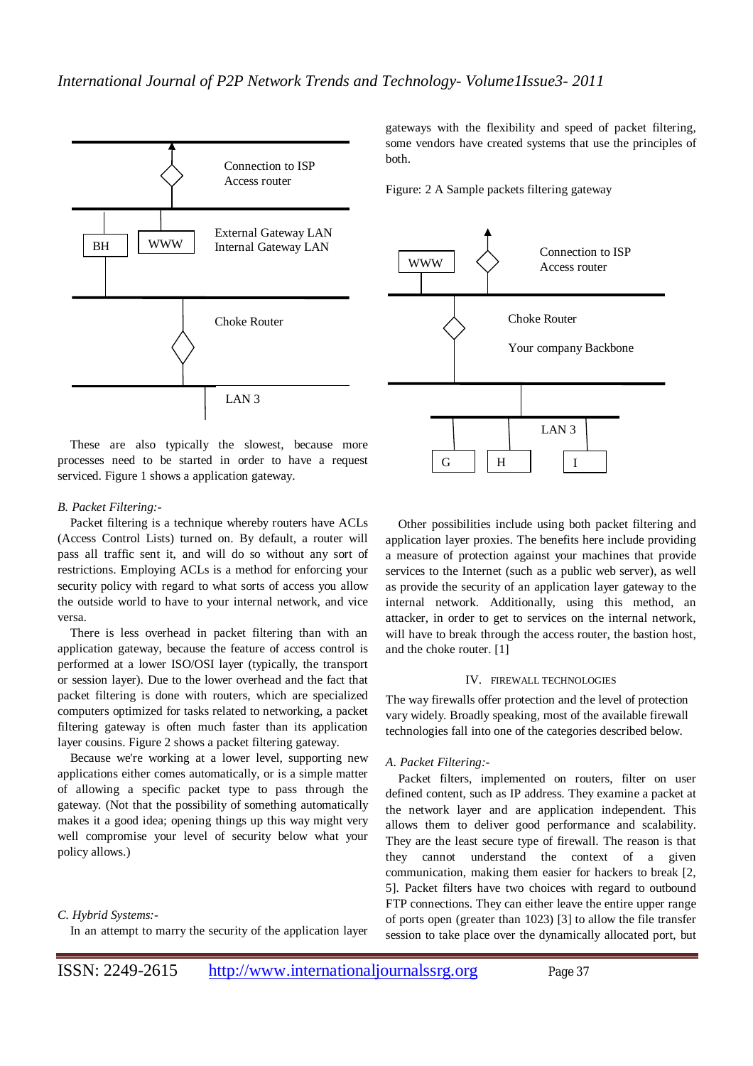

These are also typically the slowest, because more processes need to be started in order to have a request serviced. Figure 1 shows a application gateway.

# *B. Packet Filtering:-*

Packet filtering is a technique whereby routers have ACLs (Access Control Lists) turned on. By default, a router will pass all traffic sent it, and will do so without any sort of restrictions. Employing ACLs is a method for enforcing your security policy with regard to what sorts of access you allow the outside world to have to your internal network, and vice versa.

There is less overhead in packet filtering than with an application gateway, because the feature of access control is performed at a lower ISO/OSI layer (typically, the transport or session layer). Due to the lower overhead and the fact that packet filtering is done with routers, which are specialized computers optimized for tasks related to networking, a packet filtering gateway is often much faster than its application layer cousins. Figure 2 shows a packet filtering gateway.

Because we're working at a lower level, supporting new applications either comes automatically, or is a simple matter of allowing a specific packet type to pass through the gateway. (Not that the possibility of something automatically makes it a good idea; opening things up this way might very well compromise your level of security below what your policy allows.)

## *C. Hybrid Systems:-*

In an attempt to marry the security of the application layer

gateways with the flexibility and speed of packet filtering, some vendors have created systems that use the principles of both.

Figure: 2 A Sample packets filtering gateway



Other possibilities include using both packet filtering and application layer proxies. The benefits here include providing a measure of protection against your machines that provide services to the Internet (such as a public web server), as well as provide the security of an application layer gateway to the internal network. Additionally, using this method, an attacker, in order to get to services on the internal network, will have to break through the access router, the bastion host, and the choke router. [1]

#### IV. FIREWALL TECHNOLOGIES

The way firewalls offer protection and the level of protection vary widely. Broadly speaking, most of the available firewall technologies fall into one of the categories described below.

## *A. Packet Filtering:-*

Packet filters, implemented on routers, filter on user defined content, such as IP address. They examine a packet at the network layer and are application independent. This allows them to deliver good performance and scalability. They are the least secure type of firewall. The reason is that they cannot understand the context of a given communication, making them easier for hackers to break [2, 5]. Packet filters have two choices with regard to outbound FTP connections. They can either leave the entire upper range of ports open (greater than 1023) [3] to allow the file transfer session to take place over the dynamically allocated port, but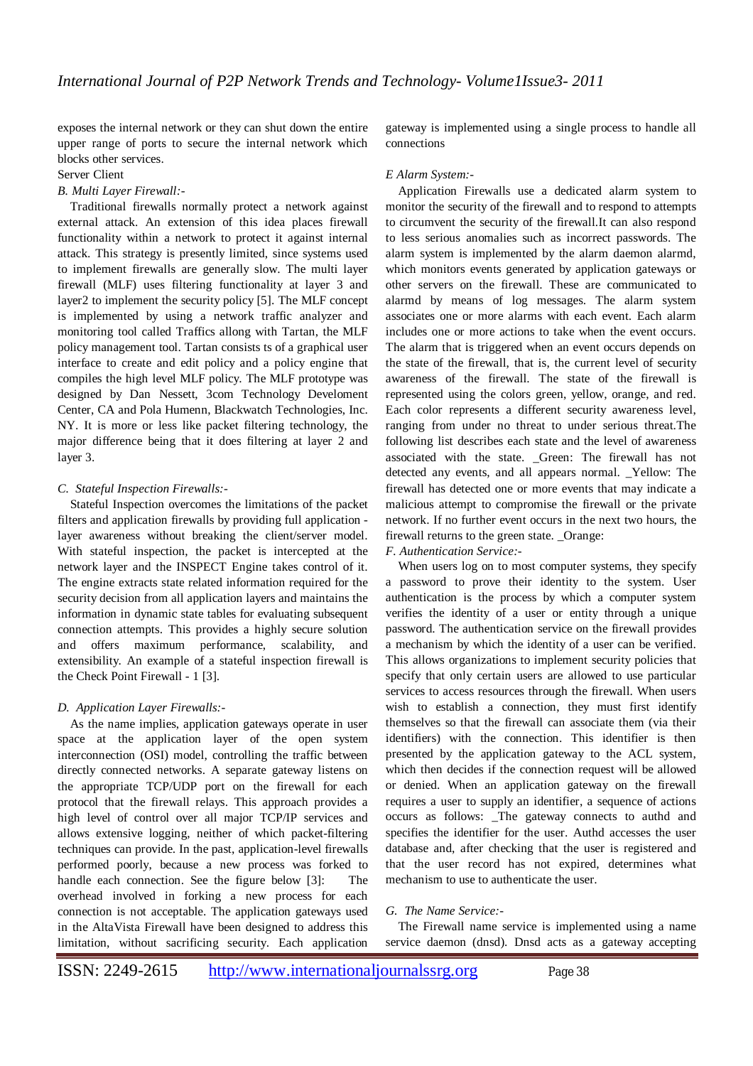exposes the internal network or they can shut down the entire upper range of ports to secure the internal network which blocks other services.

Server Client

## *B. Multi Layer Firewall:-*

Traditional firewalls normally protect a network against external attack. An extension of this idea places firewall functionality within a network to protect it against internal attack. This strategy is presently limited, since systems used to implement firewalls are generally slow. The multi layer firewall (MLF) uses filtering functionality at layer 3 and layer2 to implement the security policy [5]. The MLF concept is implemented by using a network traffic analyzer and monitoring tool called Traffics allong with Tartan, the MLF policy management tool. Tartan consists ts of a graphical user interface to create and edit policy and a policy engine that compiles the high level MLF policy. The MLF prototype was designed by Dan Nessett, 3com Technology Develoment Center, CA and Pola Humenn, Blackwatch Technologies, Inc. NY. It is more or less like packet filtering technology, the major difference being that it does filtering at layer 2 and layer 3.

## *C. Stateful Inspection Firewalls:-*

Stateful Inspection overcomes the limitations of the packet filters and application firewalls by providing full application layer awareness without breaking the client/server model. With stateful inspection, the packet is intercepted at the network layer and the INSPECT Engine takes control of it. The engine extracts state related information required for the security decision from all application layers and maintains the information in dynamic state tables for evaluating subsequent connection attempts. This provides a highly secure solution and offers maximum performance, scalability, and extensibility. An example of a stateful inspection firewall is the Check Point Firewall - 1 [3].

# *D. Application Layer Firewalls:-*

As the name implies, application gateways operate in user space at the application layer of the open system interconnection (OSI) model, controlling the traffic between directly connected networks. A separate gateway listens on the appropriate TCP/UDP port on the firewall for each protocol that the firewall relays. This approach provides a high level of control over all major TCP/IP services and allows extensive logging, neither of which packet-filtering techniques can provide. In the past, application-level firewalls performed poorly, because a new process was forked to handle each connection. See the figure below [3]: The overhead involved in forking a new process for each connection is not acceptable. The application gateways used in the AltaVista Firewall have been designed to address this limitation, without sacrificing security. Each application

gateway is implemented using a single process to handle all connections

## *E Alarm System:-*

Application Firewalls use a dedicated alarm system to monitor the security of the firewall and to respond to attempts to circumvent the security of the firewall.It can also respond to less serious anomalies such as incorrect passwords. The alarm system is implemented by the alarm daemon alarmd, which monitors events generated by application gateways or other servers on the firewall. These are communicated to alarmd by means of log messages. The alarm system associates one or more alarms with each event. Each alarm includes one or more actions to take when the event occurs. The alarm that is triggered when an event occurs depends on the state of the firewall, that is, the current level of security awareness of the firewall. The state of the firewall is represented using the colors green, yellow, orange, and red. Each color represents a different security awareness level, ranging from under no threat to under serious threat.The following list describes each state and the level of awareness associated with the state. \_Green: The firewall has not detected any events, and all appears normal. \_Yellow: The firewall has detected one or more events that may indicate a malicious attempt to compromise the firewall or the private network. If no further event occurs in the next two hours, the firewall returns to the green state. Orange:

## *F. Authentication Service:-*

When users log on to most computer systems, they specify a password to prove their identity to the system. User authentication is the process by which a computer system verifies the identity of a user or entity through a unique password. The authentication service on the firewall provides a mechanism by which the identity of a user can be verified. This allows organizations to implement security policies that specify that only certain users are allowed to use particular services to access resources through the firewall. When users wish to establish a connection, they must first identify themselves so that the firewall can associate them (via their identifiers) with the connection. This identifier is then presented by the application gateway to the ACL system, which then decides if the connection request will be allowed or denied. When an application gateway on the firewall requires a user to supply an identifier, a sequence of actions occurs as follows: \_The gateway connects to authd and specifies the identifier for the user. Authd accesses the user database and, after checking that the user is registered and that the user record has not expired, determines what mechanism to use to authenticate the user.

# *G. The Name Service:-*

The Firewall name service is implemented using a name service daemon (dnsd). Dnsd acts as a gateway accepting